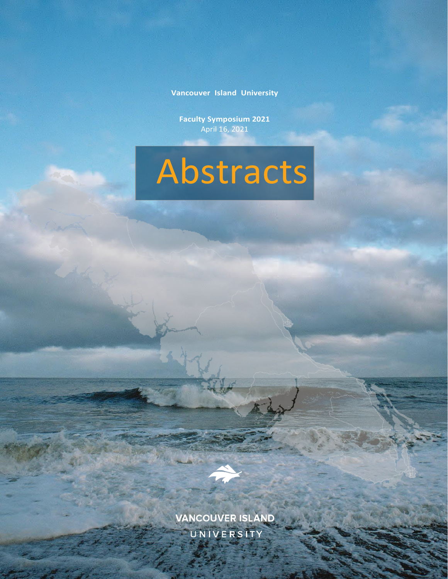**Vancouver Island University**

**Faculty Symposium 2021** April 16, 2021





VANCOUVER ISLAND UNIVERSITY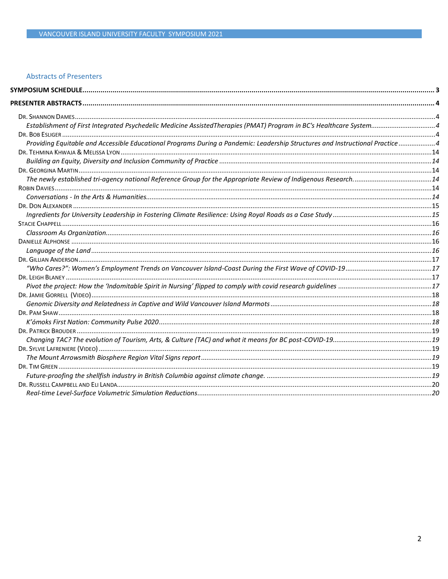#### **Abstracts of Presenters**

| Providing Equitable and Accessible Educational Programs During a Pandemic: Leadership Structures and Instructional Practice4 |  |
|------------------------------------------------------------------------------------------------------------------------------|--|
|                                                                                                                              |  |
|                                                                                                                              |  |
|                                                                                                                              |  |
|                                                                                                                              |  |
|                                                                                                                              |  |
|                                                                                                                              |  |
|                                                                                                                              |  |
|                                                                                                                              |  |
|                                                                                                                              |  |
|                                                                                                                              |  |
|                                                                                                                              |  |
|                                                                                                                              |  |
|                                                                                                                              |  |
|                                                                                                                              |  |
|                                                                                                                              |  |
|                                                                                                                              |  |
|                                                                                                                              |  |
|                                                                                                                              |  |
|                                                                                                                              |  |
|                                                                                                                              |  |
|                                                                                                                              |  |
|                                                                                                                              |  |
|                                                                                                                              |  |
|                                                                                                                              |  |
|                                                                                                                              |  |
|                                                                                                                              |  |
|                                                                                                                              |  |
|                                                                                                                              |  |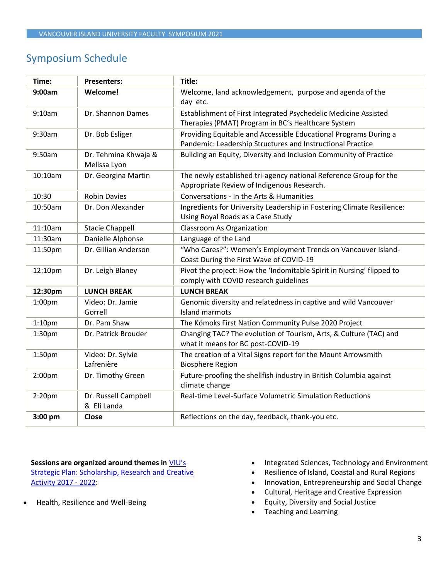# <span id="page-2-0"></span>Symposium Schedule

| Time:              | <b>Presenters:</b>                   | Title:                                                                                                                         |
|--------------------|--------------------------------------|--------------------------------------------------------------------------------------------------------------------------------|
| 9:00am             | <b>Welcome!</b>                      | Welcome, land acknowledgement, purpose and agenda of the<br>day etc.                                                           |
| 9:10am             | Dr. Shannon Dames                    | Establishment of First Integrated Psychedelic Medicine Assisted<br>Therapies (PMAT) Program in BC's Healthcare System          |
| 9:30am             | Dr. Bob Esliger                      | Providing Equitable and Accessible Educational Programs During a<br>Pandemic: Leadership Structures and Instructional Practice |
| 9:50am             | Dr. Tehmina Khwaja &<br>Melissa Lyon | Building an Equity, Diversity and Inclusion Community of Practice                                                              |
| 10:10am            | Dr. Georgina Martin                  | The newly established tri-agency national Reference Group for the<br>Appropriate Review of Indigenous Research.                |
| 10:30              | <b>Robin Davies</b>                  | Conversations - In the Arts & Humanities                                                                                       |
| 10:50am            | Dr. Don Alexander                    | Ingredients for University Leadership in Fostering Climate Resilience:<br>Using Royal Roads as a Case Study                    |
| 11:10am            | <b>Stacie Chappell</b>               | <b>Classroom As Organization</b>                                                                                               |
| 11:30am            | Danielle Alphonse                    | Language of the Land                                                                                                           |
| 11:50pm            | Dr. Gillian Anderson                 | "Who Cares?": Women's Employment Trends on Vancouver Island-<br>Coast During the First Wave of COVID-19                        |
| 12:10pm            | Dr. Leigh Blaney                     | Pivot the project: How the 'Indomitable Spirit in Nursing' flipped to<br>comply with COVID research guidelines                 |
| 12:30pm            | <b>LUNCH BREAK</b>                   | <b>LUNCH BREAK</b>                                                                                                             |
| 1:00 <sub>pm</sub> | Video: Dr. Jamie<br>Gorrell          | Genomic diversity and relatedness in captive and wild Vancouver<br>Island marmots                                              |
| 1:10 <sub>pm</sub> | Dr. Pam Shaw                         | The Kómoks First Nation Community Pulse 2020 Project                                                                           |
| 1:30pm             | Dr. Patrick Brouder                  | Changing TAC? The evolution of Tourism, Arts, & Culture (TAC) and<br>what it means for BC post-COVID-19                        |
| 1:50pm             | Video: Dr. Sylvie<br>Lafrenière      | The creation of a Vital Signs report for the Mount Arrowsmith<br><b>Biosphere Region</b>                                       |
| 2:00 <sub>pm</sub> | Dr. Timothy Green                    | Future-proofing the shellfish industry in British Columbia against<br>climate change                                           |
| 2:20 <sub>pm</sub> | Dr. Russell Campbell<br>& Eli Landa  | Real-time Level-Surface Volumetric Simulation Reductions                                                                       |
| 3:00 pm            | <b>Close</b>                         | Reflections on the day, feedback, thank-you etc.                                                                               |

#### **Sessions are organized around themes in** [VIU's](https://research.viu.ca/sites/default/files/strategic_plan_srca_approved_2017.pdf)  [Strategic Plan: Scholarship, Research and Creative](https://research.viu.ca/sites/default/files/strategic_plan_srca_approved_2017.pdf)  [Activity 2017 -](https://research.viu.ca/sites/default/files/strategic_plan_srca_approved_2017.pdf) 2022:

• Health, Resilience and Well-Being

- Integrated Sciences, Technology and Environment
- Resilience of Island, Coastal and Rural Regions
- Innovation, Entrepreneurship and Social Change
- Cultural, Heritage and Creative Expression
- Equity, Diversity and Social Justice
- Teaching and Learning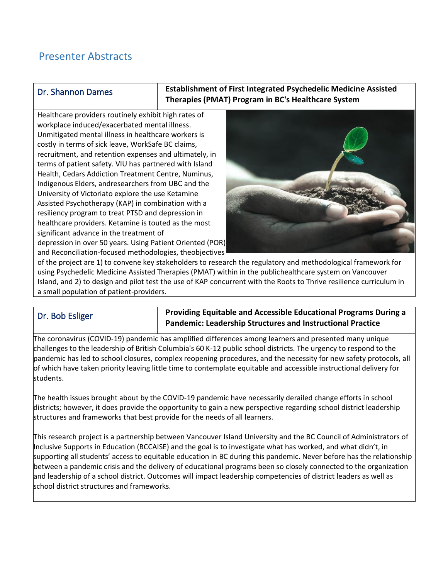# <span id="page-3-0"></span>Presenter Abstracts

# <span id="page-3-1"></span>Dr. Shannon Dames

<span id="page-3-2"></span>**Establishment of First Integrated Psychedelic Medicine Assisted Therapies (PMAT) Program in BC's Healthcare System**

Healthcare providers routinely exhibit high rates of workplace induced/exacerbated mental illness. Unmitigated mental illness in healthcare workers is costly in terms of sick leave, WorkSafe BC claims, recruitment, and retention expenses and ultimately, in terms of patient safety. VIU has partnered with Island Health, Cedars Addiction Treatment Centre, Numinus, Indigenous Elders, andresearchers from UBC and the University of Victoriato explore the use Ketamine Assisted Psychotherapy (KAP) in combination with a resiliency program to treat PTSD and depression in healthcare providers. Ketamine is touted as the most significant advance in the treatment of depression in over 50 years. Using Patient Oriented (POR) and Reconciliation-focused methodologies, theobjectives



of the project are 1) to convene key stakeholders to research the regulatory and methodological framework for using Psychedelic Medicine Assisted Therapies (PMAT) within in the publichealthcare system on Vancouver Island, and 2) to design and pilot test the use of KAP concurrent with the Roots to Thrive resilience curriculum in a small population of patient-providers.

# <span id="page-3-3"></span>Dr. Bob Esliger

# <span id="page-3-4"></span>**Providing Equitable and Accessible Educational Programs During a Pandemic: Leadership Structures and Instructional Practice**

The coronavirus (COVID-19) pandemic has amplified differences among learners and presented many unique challenges to the leadership of British Columbia's 60 K-12 public school districts. The urgency to respond to the pandemic has led to school closures, complex reopening procedures, and the necessity for new safety protocols, all of which have taken priority leaving little time to contemplate equitable and accessible instructional delivery for students.

The health issues brought about by the COVID-19 pandemic have necessarily derailed change efforts in school districts; however, it does provide the opportunity to gain a new perspective regarding school district leadership structures and frameworks that best provide for the needs of all learners.

This research project is a partnership between Vancouver Island University and the BC Council of Administrators of Inclusive Supports in Education (BCCAISE) and the goal is to investigate what has worked, and what didn't, in supporting all students' access to equitable education in BC during this pandemic. Never before has the relationship between a pandemic crisis and the delivery of educational programs been so closely connected to the organization and leadership of a school district. Outcomes will impact leadership competencies of district leaders as well as school district structures and frameworks.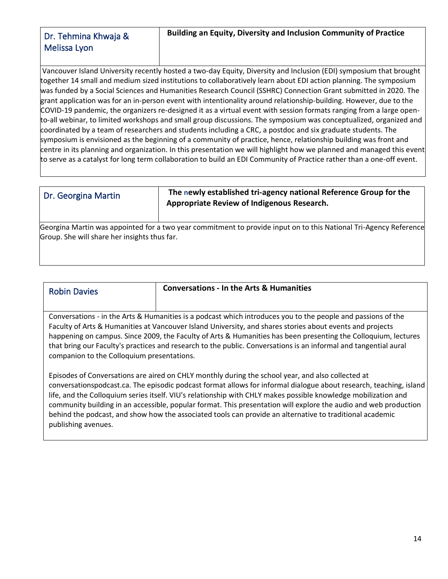# <span id="page-4-1"></span><span id="page-4-0"></span>Dr. Tehmina Khwaja & Melissa Lyon

Vancouver Island University recently hosted a two-day Equity, Diversity and Inclusion (EDI) symposium that brought together 14 small and medium sized institutions to collaboratively learn about EDI action planning. The symposium was funded by a Social Sciences and Humanities Research Council (SSHRC) Connection Grant submitted in 2020. The grant application was for an in-person event with intentionality around relationship-building. However, due to the COVID-19 pandemic, the organizers re-designed it as a virtual event with session formats ranging from a large opento-all webinar, to limited workshops and small group discussions. The symposium was conceptualized, organized and coordinated by a team of researchers and students including a CRC, a postdoc and six graduate students. The symposium is envisioned as the beginning of a community of practice, hence, relationship building was front and centre in its planning and organization. In this presentation we will highlight how we planned and managed this event to serve as a catalyst for long term collaboration to build an EDI Community of Practice rather than a one-off event.

# <span id="page-4-2"></span>Dr. Georgina Martin

<span id="page-4-5"></span><span id="page-4-3"></span>**The newly established tri-agency national Reference Group for the Appropriate Review of Indigenous Research.** 

Georgina Martin was appointed for a two year commitment to provide input on to this National Tri-Agency Reference Group. She will share her insights thus far.

<span id="page-4-4"></span>

| <b>Robin Davies</b> | Conversations - In the Arts & Humanities |
|---------------------|------------------------------------------|

Conversations - in the Arts & Humanities is a podcast which introduces you to the people and passions of the Faculty of Arts & Humanities at Vancouver Island University, and shares stories about events and projects happening on campus. Since 2009, the Faculty of Arts & Humanities has been presenting the Colloquium, lectures that bring our Faculty's practices and research to the public. Conversations is an informal and tangential aural companion to the Colloquium presentations.

Episodes of Conversations are aired on CHLY monthly during the school year, and also collected at conversationspodcast.ca. The episodic podcast format allows for informal dialogue about research, teaching, island life, and the Colloquium series itself. VIU's relationship with CHLY makes possible knowledge mobilization and community building in an accessible, popular format. This presentation will explore the audio and web production behind the podcast, and show how the associated tools can provide an alternative to traditional academic publishing avenues.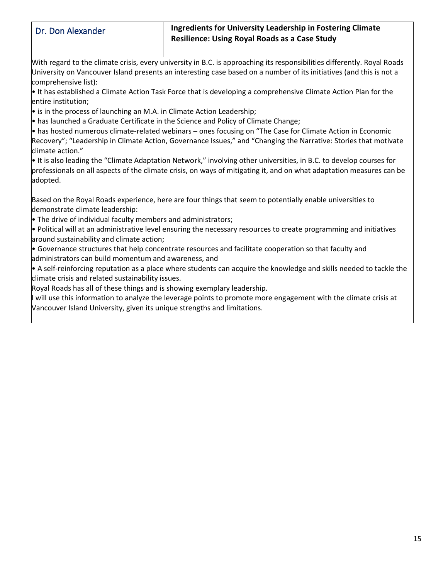# <span id="page-5-0"></span>Dr. Don Alexander

# <span id="page-5-1"></span>**Ingredients for University Leadership in Fostering Climate Resilience: Using Royal Roads as a Case Study**

With regard to the climate crisis, every university in B.C. is approaching its responsibilities differently. Royal Roads University on Vancouver Island presents an interesting case based on a number of its initiatives (and this is not a comprehensive list):

• It has established a Climate Action Task Force that is developing a comprehensive Climate Action Plan for the entire institution;

• is in the process of launching an M.A. in Climate Action Leadership;

• has launched a Graduate Certificate in the Science and Policy of Climate Change;

• has hosted numerous climate-related webinars – ones focusing on "The Case for Climate Action in Economic Recovery"; "Leadership in Climate Action, Governance Issues," and "Changing the Narrative: Stories that motivate climate action."

• It is also leading the "Climate Adaptation Network," involving other universities, in B.C. to develop courses for professionals on all aspects of the climate crisis, on ways of mitigating it, and on what adaptation measures can be adopted.

Based on the Royal Roads experience, here are four things that seem to potentially enable universities to demonstrate climate leadership:

• The drive of individual faculty members and administrators;

• Political will at an administrative level ensuring the necessary resources to create programming and initiatives around sustainability and climate action;

• Governance structures that help concentrate resources and facilitate cooperation so that faculty and administrators can build momentum and awareness, and

• A self-reinforcing reputation as a place where students can acquire the knowledge and skills needed to tackle the climate crisis and related sustainability issues.

Royal Roads has all of these things and is showing exemplary leadership.

I will use this information to analyze the leverage points to promote more engagement with the climate crisis at Vancouver Island University, given its unique strengths and limitations.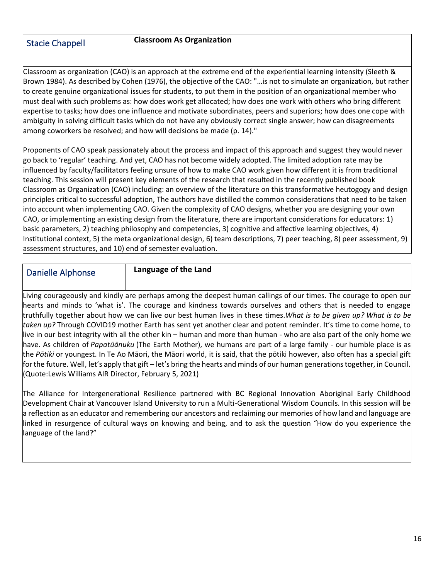# <span id="page-6-0"></span>Stacie Chappell

#### <span id="page-6-1"></span>**Classroom As Organization**

Classroom as organization (CAO) is an approach at the extreme end of the experiential learning intensity (Sleeth & Brown 1984). As described by Cohen (1976), the objective of the CAO: "…is not to simulate an organization, but rather to create genuine organizational issues for students, to put them in the position of an organizational member who must deal with such problems as: how does work get allocated; how does one work with others who bring different expertise to tasks; how does one influence and motivate subordinates, peers and superiors; how does one cope with ambiguity in solving difficult tasks which do not have any obviously correct single answer; how can disagreements among coworkers be resolved; and how will decisions be made (p. 14)."

Proponents of CAO speak passionately about the process and impact of this approach and suggest they would never go back to 'regular' teaching. And yet, CAO has not become widely adopted. The limited adoption rate may be influenced by faculty/facilitators feeling unsure of how to make CAO work given how different it is from traditional teaching. This session will present key elements of the research that resulted in the recently published book Classroom as Organization (CAO) including: an overview of the literature on this transformative heutogogy and design principles critical to successful adoption, The authors have distilled the common considerations that need to be taken into account when implementing CAO. Given the complexity of CAO designs, whether you are designing your own CAO, or implementing an existing design from the literature, there are important considerations for educators: 1) basic parameters, 2) teaching philosophy and competencies, 3) cognitive and affective learning objectives, 4) Institutional context, 5) the meta organizational design, 6) team descriptions, 7) peer teaching, 8) peer assessment, 9) assessment structures, and 10) end of semester evaluation.

# <span id="page-6-2"></span>Danielle Alphonse

<span id="page-6-3"></span>**Language of the Land**

Living courageously and kindly are perhaps among the deepest human callings of our times. The courage to open our hearts and minds to 'what is'. The courage and kindness towards ourselves and others that is needed to engage truthfully together about how we can live our best human lives in these times.*What is to be given up? What is to be taken up?* Through COVID19 mother Earth has sent yet another clear and potent reminder. It's time to come home, to live in our best integrity with all the other kin – human and more than human - who are also part of the only home we have. As children of *Papatūānuku* (The Earth Mother), we humans are part of a large family - our humble place is as the *Pōtiki* or youngest. In Te Ao Māori, the Māori world, it is said, that the pōtiki however, also often has a special gift for the future. Well, let's apply that gift – let's bring the hearts and minds of our human generations together, in Council. (Quote:Lewis Williams AIR Director, February 5, 2021)

The Alliance for Intergenerational Resilience partnered with BC Regional Innovation Aboriginal Early Childhood Development Chair at Vancouver Island University to run a Multi-Generational Wisdom Councils. In this session will be a reflection as an educator and remembering our ancestors and reclaiming our memories of how land and language are linked in resurgence of cultural ways on knowing and being, and to ask the question "How do you experience the language of the land?"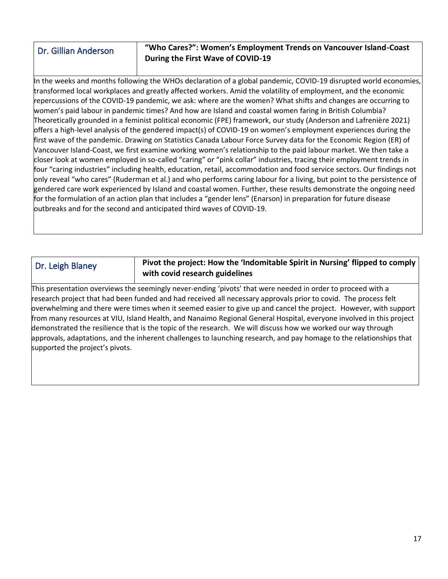# <span id="page-7-0"></span>Dr. Gillian Anderson

# <span id="page-7-1"></span>**"Who Cares?": Women's Employment Trends on Vancouver Island-Coast During the First Wave of COVID-19**

In the weeks and months following the WHOs declaration of a global pandemic, COVID-19 disrupted world economies, transformed local workplaces and greatly affected workers. Amid the volatility of employment, and the economic repercussions of the COVID-19 pandemic, we ask: where are the women? What shifts and changes are occurring to women's paid labour in pandemic times? And how are Island and coastal women faring in British Columbia? Theoretically grounded in a feminist political economic (FPE) framework, our study (Anderson and Lafrenière 2021) offers a high-level analysis of the gendered impact(s) of COVID-19 on women's employment experiences during the first wave of the pandemic. Drawing on Statistics Canada Labour Force Survey data for the Economic Region (ER) of Vancouver Island-Coast, we first examine working women's relationship to the paid labour market. We then take a closer look at women employed in so-called "caring" or "pink collar" industries, tracing their employment trends in four "caring industries" including health, education, retail, accommodation and food service sectors. Our findings not only reveal "who cares" (Ruderman et al.) and who performs caring labour for a living, but point to the persistence of gendered care work experienced by Island and coastal women. Further, these results demonstrate the ongoing need for the formulation of an action plan that includes a "gender lens" (Enarson) in preparation for future disease outbreaks and for the second and anticipated third waves of COVID-19.

# <span id="page-7-2"></span>Dr. Leigh Blaney

# <span id="page-7-3"></span>**Pivot the project: How the 'Indomitable Spirit in Nursing' flipped to comply with covid research guidelines**

This presentation overviews the seemingly never-ending 'pivots' that were needed in order to proceed with a research project that had been funded and had received all necessary approvals prior to covid. The process felt overwhelming and there were times when it seemed easier to give up and cancel the project. However, with support from many resources at VIU, Island Health, and Nanaimo Regional General Hospital, everyone involved in this project demonstrated the resilience that is the topic of the research. We will discuss how we worked our way through approvals, adaptations, and the inherent challenges to launching research, and pay homage to the relationships that supported the project's pivots.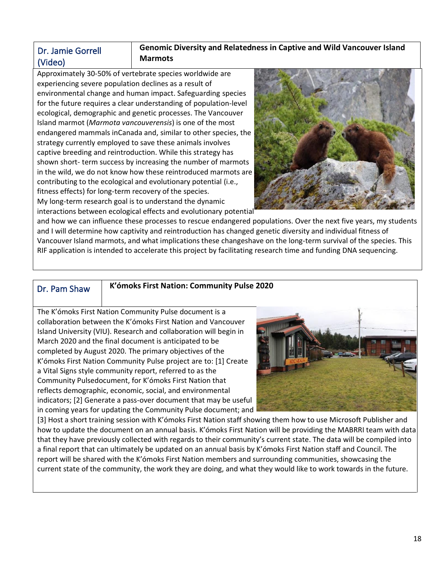# <span id="page-8-0"></span>Dr. Jamie Gorrell (Video)

# <span id="page-8-1"></span>**Genomic Diversity and Relatedness in Captive and Wild Vancouver Island Marmots**

Approximately 30-50% of vertebrate species worldwide are experiencing severe population declines as a result of environmental change and human impact. Safeguarding species for the future requires a clear understanding of population-level ecological, demographic and genetic processes. The Vancouver Island marmot (*Marmota vancouverensis*) is one of the most endangered mammals inCanada and, similar to other species, the strategy currently employed to save these animals involves captive breeding and reintroduction. While this strategy has shown short- term success by increasing the number of marmots in the wild, we do not know how these reintroduced marmots are contributing to the ecological and evolutionary potential (i.e., fitness effects) for long-term recovery of the species. My long-term research goal is to understand the dynamic interactions between ecological effects and evolutionary potential



and how we can influence these processes to rescue endangered populations. Over the next five years, my students and I will determine how captivity and reintroduction has changed genetic diversity and individual fitness of Vancouver Island marmots, and what implications these changeshave on the long-term survival of the species. This RIF application is intended to accelerate this project by facilitating research time and funding DNA sequencing.

# <span id="page-8-2"></span>Dr. Pam Shaw

### <span id="page-8-3"></span>**K'ómoks First Nation: Community Pulse 2020**

The K'ómoks First Nation Community Pulse document is a collaboration between the K'ómoks First Nation and Vancouver Island University (VIU). Research and collaboration will begin in March 2020 and the final document is anticipated to be completed by August 2020. The primary objectives of the K'ómoks First Nation Community Pulse project are to: [1] Create a Vital Signs style community report, referred to as the Community Pulsedocument, for K'ómoks First Nation that reflects demographic, economic, social, and environmental indicators; [2] Generate a pass-over document that may be useful in coming years for updating the Community Pulse document; and



[3] Host a short training session with K'ómoks First Nation staff showing them how to use Microsoft Publisher and how to update the document on an annual basis. K'ómoks First Nation will be providing the MABRRI team with data that they have previously collected with regards to their community's current state. The data will be compiled into a final report that can ultimately be updated on an annual basis by K'ómoks First Nation staff and Council. The report will be shared with the K'ómoks First Nation members and surrounding communities, showcasing the current state of the community, the work they are doing, and what they would like to work towards in the future.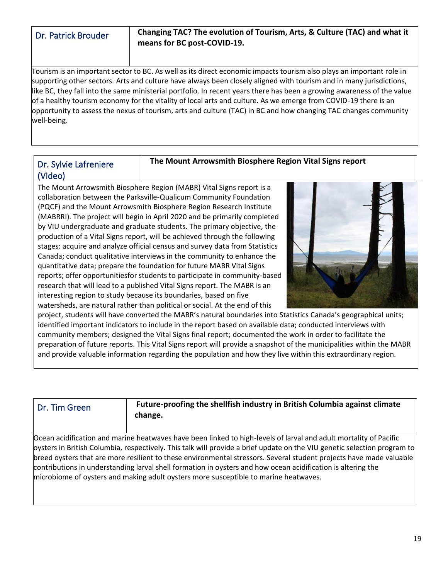<span id="page-9-1"></span><span id="page-9-0"></span>

| Dr. Patrick Brouder | Changing TAC? The evolution of Tourism, Arts, & Culture (TAC) and what it<br>means for BC post-COVID-19. |
|---------------------|----------------------------------------------------------------------------------------------------------|
|                     |                                                                                                          |

Tourism is an important sector to BC. As well as its direct economic impacts tourism also plays an important role in supporting other sectors. Arts and culture have always been closely aligned with tourism and in many jurisdictions, like BC, they fall into the same ministerial portfolio. In recent years there has been a growing awareness of the value of a healthy tourism economy for the vitality of local arts and culture. As we emerge from COVID-19 there is an opportunity to assess the nexus of tourism, arts and culture (TAC) in BC and how changing TAC changes community well-being.

# <span id="page-9-2"></span>Dr. Sylvie Lafreniere (Video)

<span id="page-9-3"></span>**The Mount Arrowsmith Biosphere Region Vital Signs report**

The Mount Arrowsmith Biosphere Region (MABR) Vital Signs report is a collaboration between the Parksville-Qualicum Community Foundation (PQCF) and the Mount Arrowsmith Biosphere Region Research Institute (MABRRI). The project will begin in April 2020 and be primarily completed by VIU undergraduate and graduate students. The primary objective, the production of a Vital Signs report, will be achieved through the following stages: acquire and analyze official census and survey data from Statistics Canada; conduct qualitative interviews in the community to enhance the quantitative data; prepare the foundation for future MABR Vital Signs reports; offer opportunitiesfor students to participate in community-based research that will lead to a published Vital Signs report. The MABR is an interesting region to study because its boundaries, based on five watersheds, are natural rather than political or social. At the end of this



project, students will have converted the MABR's natural boundaries into Statistics Canada's geographical units; identified important indicators to include in the report based on available data; conducted interviews with community members; designed the Vital Signs final report; documented the work in order to facilitate the preparation of future reports. This Vital Signs report will provide a snapshot of the municipalities within the MABR and provide valuable information regarding the population and how they live within this extraordinary region.

<span id="page-9-5"></span><span id="page-9-4"></span>

| Dr. Tim Green | Future-proofing the shellfish industry in British Columbia against climate |
|---------------|----------------------------------------------------------------------------|
|               | change.                                                                    |

Ocean acidification and marine heatwaves have been linked to high-levels of larval and adult mortality of Pacific oysters in British Columbia, respectively. This talk will provide a brief update on the VIU genetic selection program to breed oysters that are more resilient to these environmental stressors. Several student projects have made valuable contributions in understanding larval shell formation in oysters and how ocean acidification is altering the microbiome of oysters and making adult oysters more susceptible to marine heatwaves.